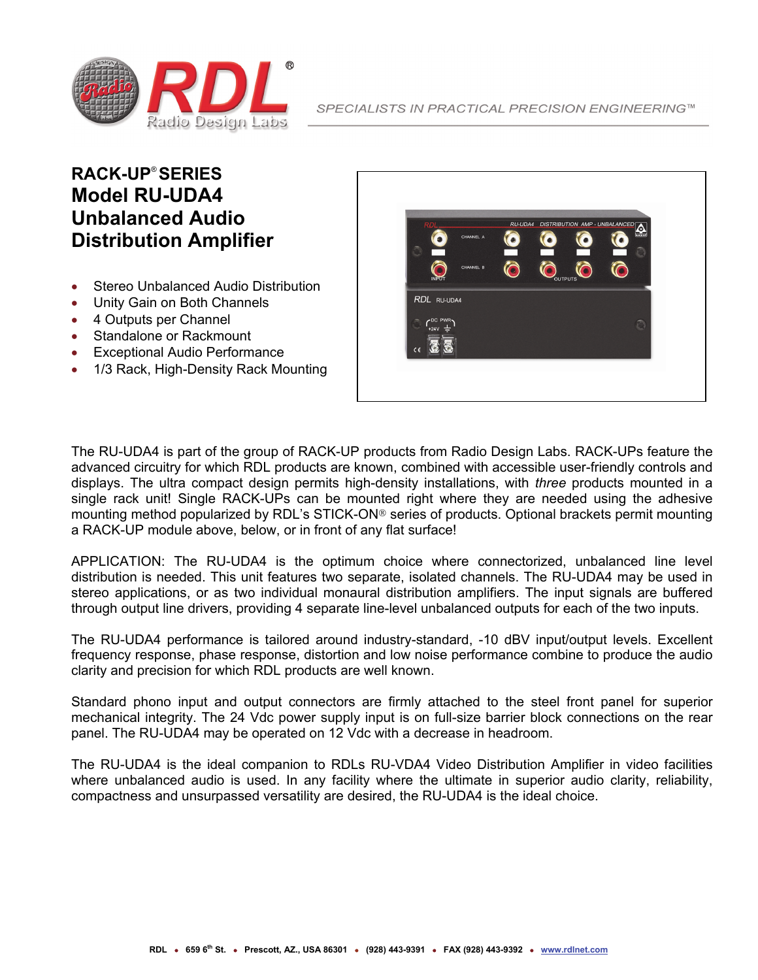

#### **RACK-UP**® **SERIES Model RU-UDA4 Unbalanced Audio Distribution Amplifier**

- Stereo Unbalanced Audio Distribution
- Unity Gain on Both Channels
- 4 Outputs per Channel
- Standalone or Rackmount
- Exceptional Audio Performance
- 1/3 Rack, High-Density Rack Mounting



The RU-UDA4 is part of the group of RACK-UP products from Radio Design Labs. RACK-UPs feature the advanced circuitry for which RDL products are known, combined with accessible user-friendly controls and displays. The ultra compact design permits high-density installations, with *three* products mounted in a single rack unit! Single RACK-UPs can be mounted right where they are needed using the adhesive mounting method popularized by RDL's STICK-ON<sup>®</sup> series of products. Optional brackets permit mounting a RACK-UP module above, below, or in front of any flat surface!

APPLICATION: The RU-UDA4 is the optimum choice where connectorized, unbalanced line level distribution is needed. This unit features two separate, isolated channels. The RU-UDA4 may be used in stereo applications, or as two individual monaural distribution amplifiers. The input signals are buffered through output line drivers, providing 4 separate line-level unbalanced outputs for each of the two inputs.

The RU-UDA4 performance is tailored around industry-standard, -10 dBV input/output levels. Excellent frequency response, phase response, distortion and low noise performance combine to produce the audio clarity and precision for which RDL products are well known.

Standard phono input and output connectors are firmly attached to the steel front panel for superior mechanical integrity. The 24 Vdc power supply input is on full-size barrier block connections on the rear panel. The RU-UDA4 may be operated on 12 Vdc with a decrease in headroom.

The RU-UDA4 is the ideal companion to RDLs RU-VDA4 Video Distribution Amplifier in video facilities where unbalanced audio is used. In any facility where the ultimate in superior audio clarity, reliability, compactness and unsurpassed versatility are desired, the RU-UDA4 is the ideal choice.